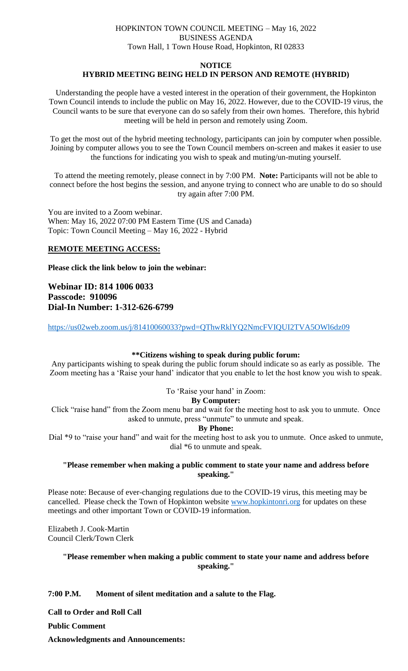# HOPKINTON TOWN COUNCIL MEETING – May 16, 2022 BUSINESS AGENDA Town Hall, 1 Town House Road, Hopkinton, RI 02833

#### **NOTICE**

# **HYBRID MEETING BEING HELD IN PERSON AND REMOTE (HYBRID)**

Understanding the people have a vested interest in the operation of their government, the Hopkinton Town Council intends to include the public on May 16, 2022. However, due to the COVID-19 virus, the Council wants to be sure that everyone can do so safely from their own homes. Therefore, this hybrid meeting will be held in person and remotely using Zoom.

To get the most out of the hybrid meeting technology, participants can join by computer when possible. Joining by computer allows you to see the Town Council members on-screen and makes it easier to use the functions for indicating you wish to speak and muting/un-muting yourself.

To attend the meeting remotely, please connect in by 7:00 PM. **Note:** Participants will not be able to connect before the host begins the session, and anyone trying to connect who are unable to do so should try again after 7:00 PM.

You are invited to a Zoom webinar. When: May 16, 2022 07:00 PM Eastern Time (US and Canada) Topic: Town Council Meeting – May 16, 2022 - Hybrid

# **REMOTE MEETING ACCESS:**

**Please click the link below to join the webinar:**

**Webinar ID: 814 1006 0033 Passcode: 910096 Dial-In Number: 1-312-626-6799**

<https://us02web.zoom.us/j/81410060033?pwd=QThwRklYQ2NmcFVIQUI2TVA5OWl6dz09>

# **\*\*Citizens wishing to speak during public forum:**

Any participants wishing to speak during the public forum should indicate so as early as possible. The Zoom meeting has a 'Raise your hand' indicator that you enable to let the host know you wish to speak.

To 'Raise your hand' in Zoom:

#### **By Computer:**

Click "raise hand" from the Zoom menu bar and wait for the meeting host to ask you to unmute. Once asked to unmute, press "unmute" to unmute and speak.

#### **By Phone:**

Dial \*9 to "raise your hand" and wait for the meeting host to ask you to unmute. Once asked to unmute, dial \*6 to unmute and speak.

# **"Please remember when making a public comment to state your name and address before speaking."**

Please note: Because of ever-changing regulations due to the COVID-19 virus, this meeting may be cancelled. Please check the Town of Hopkinton website [www.hopkintonri.org](http://www.hopkintonri.org/) for updates on these meetings and other important Town or COVID-19 information.

Elizabeth J. Cook-Martin Council Clerk/Town Clerk

# **"Please remember when making a public comment to state your name and address before speaking."**

**7:00 P.M. Moment of silent meditation and a salute to the Flag.**

**Call to Order and Roll Call**

**Public Comment** 

**Acknowledgments and Announcements:**